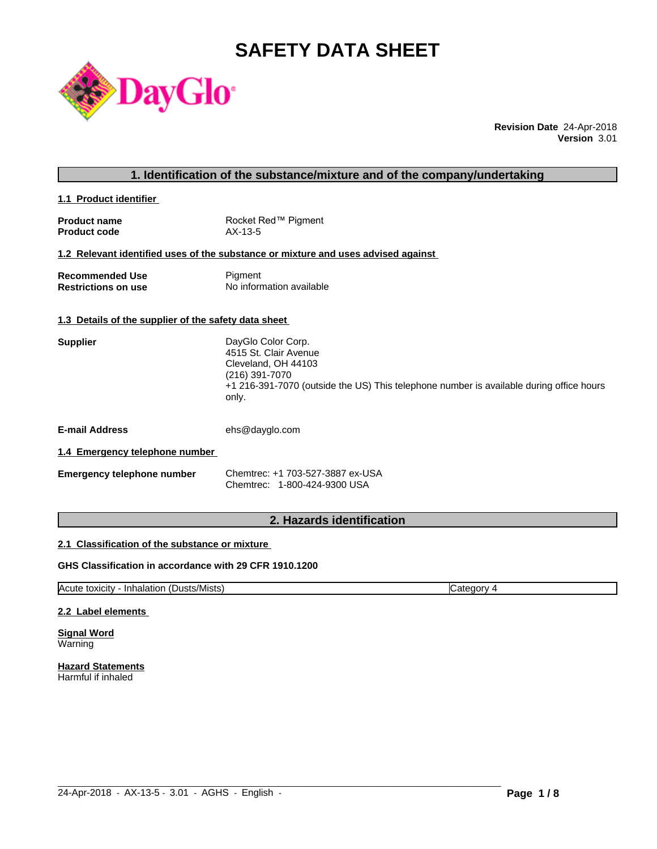# **SAFETY DATA SHEET**



**Revision Date** 24-Apr-2018 **Version** 3.01

# **1. Identification of the substance/mixture and of the company/undertaking**

**1.1 Product identifier** 

| <b>Product name</b> | Rocket Red™ Pigment |
|---------------------|---------------------|
| <b>Product code</b> | $AX-13-5$           |

# **1.2 Relevant identified uses of the substance or mixture and uses advised against**

| <b>Recommended Use</b>     | Pigment                  |
|----------------------------|--------------------------|
| <b>Restrictions on use</b> | No information available |

#### **1.3 Details of the supplier of the safety data sheet**

| <b>Supplier</b> | DayGlo Color Corp.                                                                               |
|-----------------|--------------------------------------------------------------------------------------------------|
|                 | 4515 St. Clair Avenue                                                                            |
|                 | Cleveland, OH 44103                                                                              |
|                 | (216) 391-7070                                                                                   |
|                 | +1 216-391-7070 (outside the US) This telephone number is available during office hours<br>only. |
|                 |                                                                                                  |

**E-mail Address** ehs@dayglo.com

#### **1.4 Emergency telephone number**

| Emergency telephone number | Chemtrec: +1 703-527-3887 ex-USA |
|----------------------------|----------------------------------|
|                            | Chemtrec: 1-800-424-9300 USA     |

# **2. Hazards identification**

#### **2.1 Classification of the substance or mixture**

### **GHS Classification in accordance with 29 CFR 1910.1200**

Acute toxicity - Inhalation (Dusts/Mists) Category 4

 $\_$  ,  $\_$  ,  $\_$  ,  $\_$  ,  $\_$  ,  $\_$  ,  $\_$  ,  $\_$  ,  $\_$  ,  $\_$  ,  $\_$  ,  $\_$  ,  $\_$  ,  $\_$  ,  $\_$  ,  $\_$  ,  $\_$  ,  $\_$  ,  $\_$  ,  $\_$  ,  $\_$  ,  $\_$  ,  $\_$  ,  $\_$  ,  $\_$  ,  $\_$  ,  $\_$  ,  $\_$  ,  $\_$  ,  $\_$  ,  $\_$  ,  $\_$  ,  $\_$  ,  $\_$  ,  $\_$  ,  $\_$  ,  $\_$  ,

#### **2.2 Label elements**

**Signal Word** Warning

**Hazard Statements** Harmful if inhaled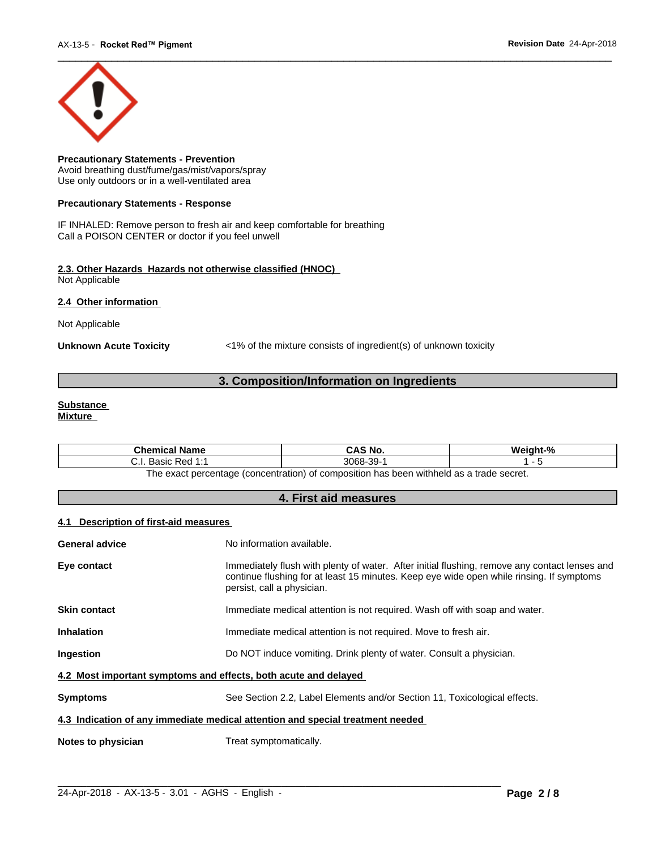

**Precautionary Statements - Prevention** Avoid breathing dust/fume/gas/mist/vapors/spray Use only outdoors or in a well-ventilated area

#### **Precautionary Statements - Response**

IF INHALED: Remove person to fresh air and keep comfortable for breathing Call a POISON CENTER or doctor if you feel unwell

#### **2.3. Other Hazards Hazards not otherwise classified (HNOC)** Not Applicable

**2.4 Other information** 

Not Applicable

**Unknown Acute Toxicity** <1% of the mixture consists of ingredient(s) of unknown toxicity

# **3. Composition/Information on Ingredients**

#### **Substance Mixture**

| Chemical<br>l Name                                                                              | CAS No.             | Mainht <sub>-</sub> % |  |  |
|-------------------------------------------------------------------------------------------------|---------------------|-----------------------|--|--|
| 4.4<br>: Red<br><b>Doole</b><br>. ۱. ب<br>sasiv<br>.                                            | -30-<br>3068-<br>ັບ |                       |  |  |
| tannes ahert e ze hladdiw naad sa t<br>: nercentage (concentration) of composition<br>∣h≙ ≙¥a∩t |                     |                       |  |  |

The exact percentage (concentration) of composition has been withheld as a trade secret.

# **4. First aid measures**

#### **4.1 Description of first-aid measures**

| <b>General advice</b>                                                                        | No information available.                                                                                                                                                                                               |  |  |  |
|----------------------------------------------------------------------------------------------|-------------------------------------------------------------------------------------------------------------------------------------------------------------------------------------------------------------------------|--|--|--|
| Eye contact                                                                                  | Immediately flush with plenty of water. After initial flushing, remove any contact lenses and<br>continue flushing for at least 15 minutes. Keep eye wide open while rinsing. If symptoms<br>persist, call a physician. |  |  |  |
| <b>Skin contact</b>                                                                          | Immediate medical attention is not required. Wash off with soap and water.                                                                                                                                              |  |  |  |
| <b>Inhalation</b>                                                                            | Immediate medical attention is not required. Move to fresh air.                                                                                                                                                         |  |  |  |
| <b>Ingestion</b>                                                                             | Do NOT induce vomiting. Drink plenty of water. Consult a physician.                                                                                                                                                     |  |  |  |
| 4.2 Most important symptoms and effects, both acute and delayed                              |                                                                                                                                                                                                                         |  |  |  |
| See Section 2.2, Label Elements and/or Section 11, Toxicological effects.<br><b>Symptoms</b> |                                                                                                                                                                                                                         |  |  |  |
| 4.3 Indication of any immediate medical attention and special treatment needed               |                                                                                                                                                                                                                         |  |  |  |
| Treat symptomatically.<br>Notes to physician                                                 |                                                                                                                                                                                                                         |  |  |  |
|                                                                                              |                                                                                                                                                                                                                         |  |  |  |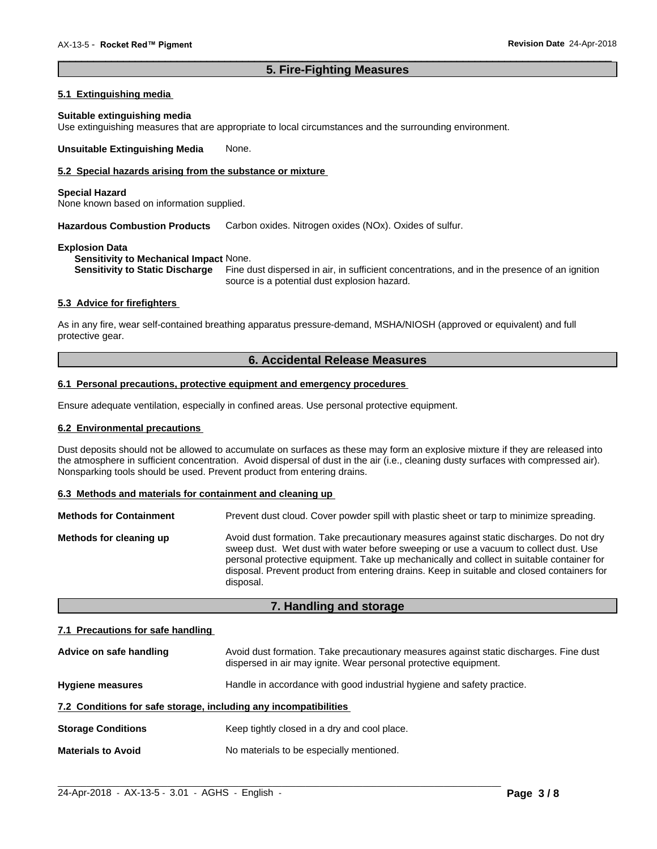# **5. Fire-Fighting Measures**

 $\overline{\phantom{a}}$  ,  $\overline{\phantom{a}}$  ,  $\overline{\phantom{a}}$  ,  $\overline{\phantom{a}}$  ,  $\overline{\phantom{a}}$  ,  $\overline{\phantom{a}}$  ,  $\overline{\phantom{a}}$  ,  $\overline{\phantom{a}}$  ,  $\overline{\phantom{a}}$  ,  $\overline{\phantom{a}}$  ,  $\overline{\phantom{a}}$  ,  $\overline{\phantom{a}}$  ,  $\overline{\phantom{a}}$  ,  $\overline{\phantom{a}}$  ,  $\overline{\phantom{a}}$  ,  $\overline{\phantom{a}}$ 

#### **5.1 Extinguishing media**

#### **Suitable extinguishing media**

Use extinguishing measures that are appropriate to local circumstances and the surrounding environment.

**Unsuitable Extinguishing Media** None.

### **5.2 Special hazards arising from the substance or mixture**

#### **Special Hazard**

None known based on information supplied.

**Hazardous Combustion Products** Carbon oxides. Nitrogen oxides (NOx). Oxides of sulfur.

#### **Explosion Data**

**Sensitivity to Mechanical Impact** None.

**Sensitivity to Static Discharge** Fine dust dispersed in air, in sufficient concentrations, and in the presence of an ignition source is a potential dust explosion hazard.

#### **5.3 Advice for firefighters**

As in any fire, wear self-contained breathing apparatus pressure-demand, MSHA/NIOSH (approved or equivalent) and full protective gear.

# **6. Accidental Release Measures**

#### **6.1 Personal precautions, protective equipment and emergency procedures**

Ensure adequate ventilation, especially in confined areas. Use personal protective equipment.

#### **6.2 Environmental precautions**

Dust deposits should not be allowed to accumulate on surfaces as these may form an explosive mixture if they are released into the atmosphere in sufficient concentration. Avoid dispersal of dust in the air (i.e., cleaning dusty surfaces with compressed air). Nonsparking tools should be used. Prevent product from entering drains.

#### **6.3 Methods and materials for containment and cleaning up**

| <b>Methods for Containment</b> | Prevent dust cloud. Cover powder spill with plastic sheet or tarp to minimize spreading.                                                                                                                                                                                                                                                                                                |  |  |
|--------------------------------|-----------------------------------------------------------------------------------------------------------------------------------------------------------------------------------------------------------------------------------------------------------------------------------------------------------------------------------------------------------------------------------------|--|--|
| Methods for cleaning up        | Avoid dust formation. Take precautionary measures against static discharges. Do not dry<br>sweep dust. Wet dust with water before sweeping or use a vacuum to collect dust. Use<br>personal protective equipment. Take up mechanically and collect in suitable container for<br>disposal. Prevent product from entering drains. Keep in suitable and closed containers for<br>disposal. |  |  |

### **7. Handling and storage**

#### **7.1 Precautions for safe handling**

| Advice on safe handling                                          | Avoid dust formation. Take precautionary measures against static discharges. Fine dust<br>dispersed in air may ignite. Wear personal protective equipment. |
|------------------------------------------------------------------|------------------------------------------------------------------------------------------------------------------------------------------------------------|
| <b>Hygiene measures</b>                                          | Handle in accordance with good industrial hygiene and safety practice.                                                                                     |
| 7.2 Conditions for safe storage, including any incompatibilities |                                                                                                                                                            |
| <b>Storage Conditions</b>                                        | Keep tightly closed in a dry and cool place.                                                                                                               |
| <b>Materials to Avoid</b>                                        | No materials to be especially mentioned.                                                                                                                   |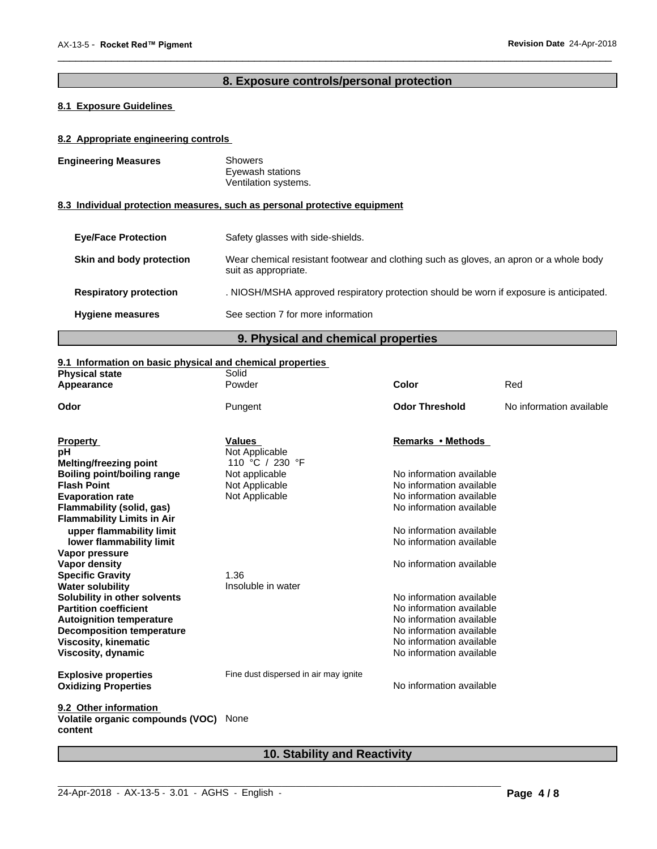# **8. Exposure controls/personal protection**

 $\overline{\phantom{a}}$  ,  $\overline{\phantom{a}}$  ,  $\overline{\phantom{a}}$  ,  $\overline{\phantom{a}}$  ,  $\overline{\phantom{a}}$  ,  $\overline{\phantom{a}}$  ,  $\overline{\phantom{a}}$  ,  $\overline{\phantom{a}}$  ,  $\overline{\phantom{a}}$  ,  $\overline{\phantom{a}}$  ,  $\overline{\phantom{a}}$  ,  $\overline{\phantom{a}}$  ,  $\overline{\phantom{a}}$  ,  $\overline{\phantom{a}}$  ,  $\overline{\phantom{a}}$  ,  $\overline{\phantom{a}}$ 

# **8.1 Exposure Guidelines**

### **8.2 Appropriate engineering controls**

| <b>Engineering Measures</b>   | <b>Showers</b><br>Eyewash stations<br>Ventilation systems.                                                     |
|-------------------------------|----------------------------------------------------------------------------------------------------------------|
|                               | 8.3 Individual protection measures, such as personal protective equipment                                      |
| <b>Eye/Face Protection</b>    | Safety glasses with side-shields.                                                                              |
| Skin and body protection      | Wear chemical resistant footwear and clothing such as gloves, an apron or a whole body<br>suit as appropriate. |
| <b>Respiratory protection</b> | . NIOSH/MSHA approved respiratory protection should be worn if exposure is anticipated.                        |
| <b>Hygiene measures</b>       | See section 7 for more information                                                                             |
|                               |                                                                                                                |

# **9. Physical and chemical properties**

#### **9.1 Information on basic physical and chemical properties**

| <b>Physical state</b>                       | Solid                                 |                          |                          |
|---------------------------------------------|---------------------------------------|--------------------------|--------------------------|
| Appearance                                  | Powder                                | Color                    | Red                      |
| Odor                                        | Pungent                               | <b>Odor Threshold</b>    | No information available |
| <b>Property</b>                             | <b>Values</b>                         | Remarks • Methods        |                          |
| рH                                          | Not Applicable                        |                          |                          |
| <b>Melting/freezing point</b>               | 110 °C / 230 °F                       |                          |                          |
| <b>Boiling point/boiling range</b>          | Not applicable                        | No information available |                          |
| <b>Flash Point</b>                          | Not Applicable                        | No information available |                          |
| <b>Evaporation rate</b>                     | Not Applicable                        | No information available |                          |
| Flammability (solid, gas)                   |                                       | No information available |                          |
| <b>Flammability Limits in Air</b>           |                                       |                          |                          |
| upper flammability limit                    |                                       | No information available |                          |
| lower flammability limit                    |                                       | No information available |                          |
| Vapor pressure                              |                                       |                          |                          |
| Vapor density                               |                                       | No information available |                          |
| <b>Specific Gravity</b>                     | 1.36                                  |                          |                          |
| <b>Water solubility</b>                     | Insoluble in water                    |                          |                          |
| Solubility in other solvents                |                                       | No information available |                          |
| <b>Partition coefficient</b>                |                                       | No information available |                          |
| <b>Autoignition temperature</b>             |                                       | No information available |                          |
| <b>Decomposition temperature</b>            |                                       | No information available |                          |
| <b>Viscosity, kinematic</b>                 |                                       | No information available |                          |
| Viscosity, dynamic                          |                                       | No information available |                          |
| <b>Explosive properties</b>                 | Fine dust dispersed in air may ignite |                          |                          |
| <b>Oxidizing Properties</b>                 |                                       | No information available |                          |
| 9.2 Other information                       |                                       |                          |                          |
| Volatile organic compounds (VOC)<br>content | None                                  |                          |                          |

# **10. Stability and Reactivity**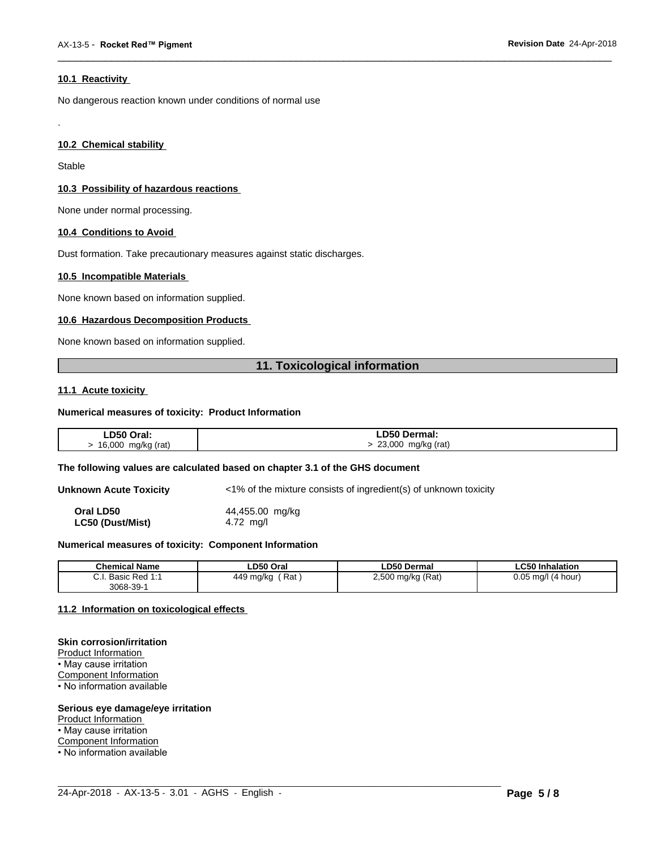#### **10.1 Reactivity**

No dangerous reaction known under conditions of normal use

### **10.2 Chemical stability**

Stable

.

#### **10.3 Possibility of hazardous reactions**

None under normal processing.

#### **10.4 Conditions to Avoid**

Dust formation. Take precautionary measures against static discharges.

#### **10.5 Incompatible Materials**

None known based on information supplied.

#### **10.6 Hazardous Decomposition Products**

None known based on information supplied.

# **11. Toxicological information**

 $\overline{\phantom{a}}$  ,  $\overline{\phantom{a}}$  ,  $\overline{\phantom{a}}$  ,  $\overline{\phantom{a}}$  ,  $\overline{\phantom{a}}$  ,  $\overline{\phantom{a}}$  ,  $\overline{\phantom{a}}$  ,  $\overline{\phantom{a}}$  ,  $\overline{\phantom{a}}$  ,  $\overline{\phantom{a}}$  ,  $\overline{\phantom{a}}$  ,  $\overline{\phantom{a}}$  ,  $\overline{\phantom{a}}$  ,  $\overline{\phantom{a}}$  ,  $\overline{\phantom{a}}$  ,  $\overline{\phantom{a}}$ 

#### **11.1 Acute toxicity**

#### **Numerical measures of toxicity: Product Information**

| LD50 Oral:  | <b>LD50 Dermal:</b> |
|-------------|---------------------|
| 16,000      | 23,000              |
| mg/kg (rat) | mg/kg (rat)         |

#### **The following values are calculated based on chapter 3.1 of the GHS document**

**Unknown Acute Toxicity** <1% of the mixture consists of ingredient(s) of unknown toxicity

**Oral LD50** 44,455.00 mg/kg **LC50 (Dust/Mist)** 4.72 mg/l

#### **Numerical measures of toxicity: Component Information**

| <b>Chemical Name</b>                                                                | LD50 Oral        | <b>LD50 Dermal</b>     | <b>LC50 Inhalation</b>   |
|-------------------------------------------------------------------------------------|------------------|------------------------|--------------------------|
| $\sim$<br>$Dod$ 4.4<br><b>Dooin</b><br><b>D</b> asic<br>$\mathsf{r}$ Req.i.<br>υ.ι. | Rat<br>449 mg/kg | ) mg/kg (Rat)<br>2,500 | 0.05<br>(4 hour)<br>ma/l |
| $3068 - 39 - 7$                                                                     |                  |                        |                          |

 $\_$  ,  $\_$  ,  $\_$  ,  $\_$  ,  $\_$  ,  $\_$  ,  $\_$  ,  $\_$  ,  $\_$  ,  $\_$  ,  $\_$  ,  $\_$  ,  $\_$  ,  $\_$  ,  $\_$  ,  $\_$  ,  $\_$  ,  $\_$  ,  $\_$  ,  $\_$  ,  $\_$  ,  $\_$  ,  $\_$  ,  $\_$  ,  $\_$  ,  $\_$  ,  $\_$  ,  $\_$  ,  $\_$  ,  $\_$  ,  $\_$  ,  $\_$  ,  $\_$  ,  $\_$  ,  $\_$  ,  $\_$  ,  $\_$  ,

#### **11.2 Information on toxicologicaleffects**

#### **Skin corrosion/irritation**

Product Information • May cause irritation Component Information • No information available

#### **Serious eye damage/eye irritation**

Product Information

• May cause irritation

Component Information

• No information available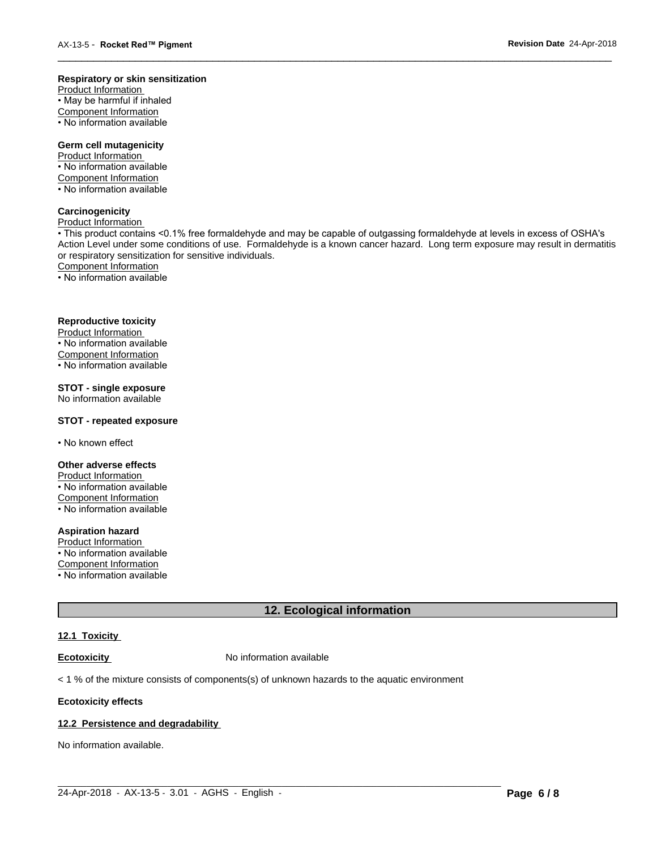#### **Respiratory or skin sensitization**

Product Information  $\overline{\cdot}$  May be harmful if inhaled Component Information • No information available

# **Germ cell mutagenicity**

Product Information • No information available Component Information • No information available

# **Carcinogenicity**

Product Information

• This product contains <0.1% free formaldehyde and may be capable of outgassing formaldehyde at levels in excess of OSHA's Action Level under some conditions of use. Formaldehyde is a known cancer hazard. Long term exposure may result in dermatitis or respiratory sensitization for sensitive individuals.Component Information

 $\overline{\phantom{a}}$  ,  $\overline{\phantom{a}}$  ,  $\overline{\phantom{a}}$  ,  $\overline{\phantom{a}}$  ,  $\overline{\phantom{a}}$  ,  $\overline{\phantom{a}}$  ,  $\overline{\phantom{a}}$  ,  $\overline{\phantom{a}}$  ,  $\overline{\phantom{a}}$  ,  $\overline{\phantom{a}}$  ,  $\overline{\phantom{a}}$  ,  $\overline{\phantom{a}}$  ,  $\overline{\phantom{a}}$  ,  $\overline{\phantom{a}}$  ,  $\overline{\phantom{a}}$  ,  $\overline{\phantom{a}}$ 

• No information available

#### **Reproductive toxicity**

Product Information • No information available

Component Information

• No information available

# **STOT - single exposure**

No information available

#### **STOT - repeated exposure**

• No known effect

#### **Other adverse effects**

Product Information • No information available Component Information

• No information available

# **Aspiration hazard**

Product Information • No information available

Component Information

• No information available

# **12. Ecological information**

#### **12.1 Toxicity**

**Ecotoxicity No information available** 

 $<$  1 % of the mixture consists of components(s) of unknown hazards to the aquatic environment

#### **Ecotoxicity effects**

#### **12.2 Persistence and degradability**

No information available.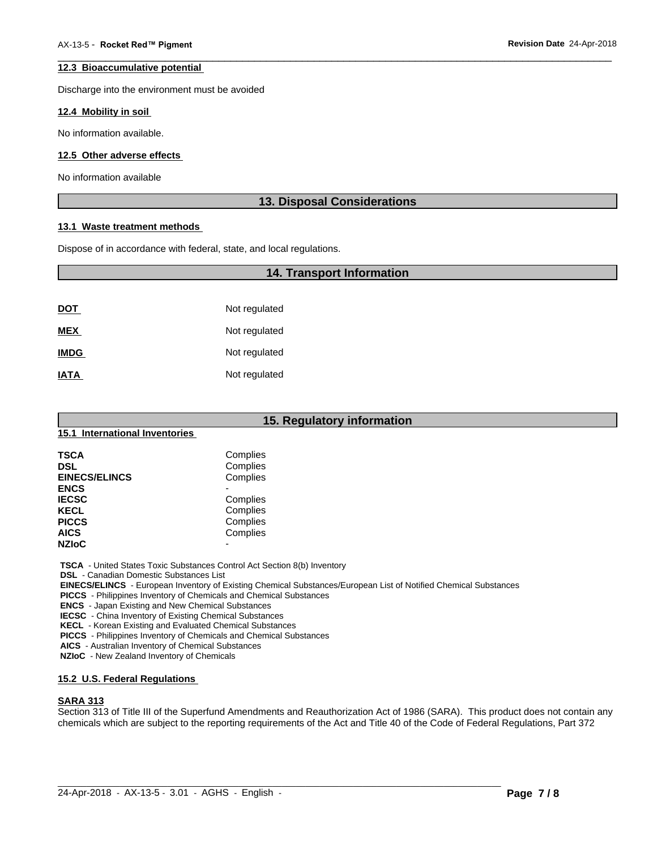#### **12.3 Bioaccumulative potential**

Discharge into the environment must be avoided

#### **12.4 Mobility in soil**

No information available.

#### **12.5 Other adverse effects**

No information available

### **13. Disposal Considerations**

 $\overline{\phantom{a}}$  ,  $\overline{\phantom{a}}$  ,  $\overline{\phantom{a}}$  ,  $\overline{\phantom{a}}$  ,  $\overline{\phantom{a}}$  ,  $\overline{\phantom{a}}$  ,  $\overline{\phantom{a}}$  ,  $\overline{\phantom{a}}$  ,  $\overline{\phantom{a}}$  ,  $\overline{\phantom{a}}$  ,  $\overline{\phantom{a}}$  ,  $\overline{\phantom{a}}$  ,  $\overline{\phantom{a}}$  ,  $\overline{\phantom{a}}$  ,  $\overline{\phantom{a}}$  ,  $\overline{\phantom{a}}$ 

#### **13.1 Waste treatment methods**

Dispose of in accordance with federal, state, and local regulations.

# **14. Transport Information**

| <b>DOT</b>  | Not regulated |
|-------------|---------------|
| <b>MEX</b>  | Not regulated |
| <b>IMDG</b> | Not regulated |
| <b>IATA</b> | Not regulated |

|                                | 15. Regulatory information |
|--------------------------------|----------------------------|
| 15.1 International Inventories |                            |
| <b>TSCA</b>                    | Complies                   |
| <b>DSL</b>                     | Complies                   |
| <b>EINECS/ELINCS</b>           | Complies                   |
| <b>ENCS</b>                    | $\blacksquare$             |
| <b>IECSC</b>                   | Complies                   |
| <b>KECL</b>                    | Complies                   |
| <b>PICCS</b>                   | Complies                   |
| <b>AICS</b>                    | Complies                   |
| <b>NZIoC</b>                   | ۰                          |

 **TSCA** - United States Toxic Substances Control Act Section 8(b) Inventory

 **DSL** - Canadian Domestic Substances List

 **EINECS/ELINCS** - European Inventory of Existing Chemical Substances/European List of Notified Chemical Substances

 **PICCS** - Philippines Inventory of Chemicals and Chemical Substances

 **ENCS** - Japan Existing and New Chemical Substances

 **IECSC** - China Inventory of Existing Chemical Substances

 **KECL** - Korean Existing and Evaluated Chemical Substances

 **PICCS** - Philippines Inventory of Chemicals and Chemical Substances

 **AICS** - Australian Inventory of Chemical Substances

 **NZIoC** - New Zealand Inventory of Chemicals

# **15.2 U.S. Federal Regulations**

# **SARA 313**

Section 313 of Title III of the Superfund Amendments and Reauthorization Act of 1986 (SARA). This product does not contain any chemicals which are subject to the reporting requirements of the Act and Title 40 of the Code of Federal Regulations, Part 372